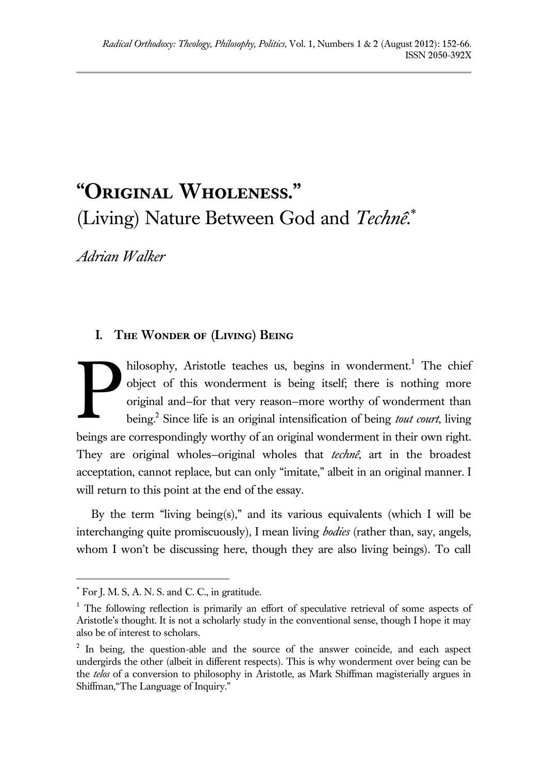# **"Original Wholeness."**  (Living) Nature Between God and *Technê*.

*Adrian Walker*

# **I. The Wonder of (Living) Being**

hilosophy, Aristotle teaches us, begins in wonderment.<sup>1</sup> The chief object of this wonderment is being itself; there is nothing more original and—for that very reason—more worthy of wonderment than being.<sup>2</sup> Since life is an original intensification of being *tout court*, living beings are correspondingly worthy of an original wonderment in their own right. They are original wholes—original wholes that *technê*, art in the broadest acceptation, cannot replace, but can only "imitate," albeit in an original manner. I will return to this point at the end of the essay. P

By the term "living being(s)," and its various equivalents (which I will be interchanging quite promiscuously), I mean living *bodies* (rather than, say, angels, whom I won't be discussing here, though they are also living beings). To call

For J. M. S, A. N. S. and C. C., in gratitude.

<sup>&</sup>lt;sup>1</sup> The following reflection is primarily an effort of speculative retrieval of some aspects of Aristotle's thought. It is not a scholarly study in the conventional sense, though I hope it may also be of interest to scholars.

<sup>&</sup>lt;sup>2</sup> In being, the question-able and the source of the answer coincide, and each aspect undergirds the other (albeit in different respects). This is why wonderment over being can be the *telos* of a conversion to philosophy in Aristotle, as Mark Shiffman magisterially argues in Shiffman,"The Language of Inquiry."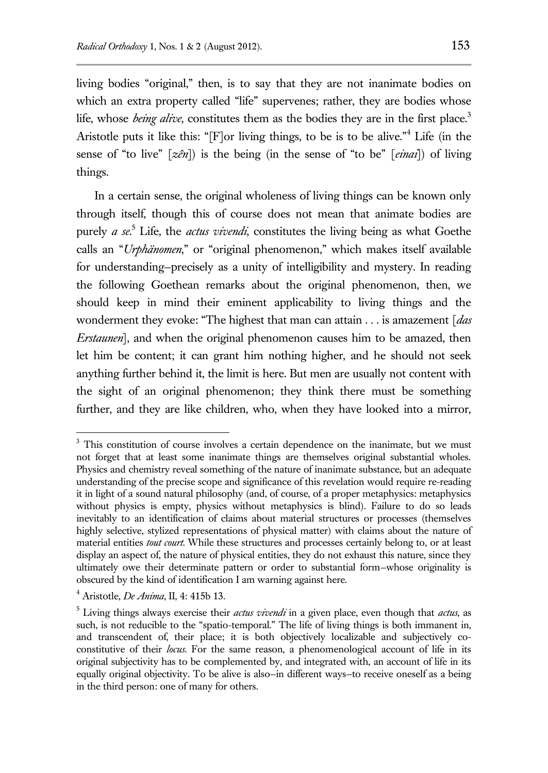living bodies "original," then, is to say that they are not inanimate bodies on which an extra property called "life" supervenes; rather, they are bodies whose life, whose *being alive*, constitutes them as the bodies they are in the first place.<sup>3</sup> Aristotle puts it like this: "[F]or living things, to be is to be alive."<sup>4</sup> Life (in the sense of "to live" [*zên*]) is the being (in the sense of "to be" [*einai*]) of living things.

In a certain sense, the original wholeness of living things can be known only through itself, though this of course does not mean that animate bodies are purely *a se*. <sup>5</sup> Life, the *actus vivendi*, constitutes the living being as what Goethe calls an "*Urphänomen*," or "original phenomenon," which makes itself available for understanding—precisely as a unity of intelligibility and mystery. In reading the following Goethean remarks about the original phenomenon, then, we should keep in mind their eminent applicability to living things and the wonderment they evoke: "The highest that man can attain . . . is amazement [*das Erstaunen*], and when the original phenomenon causes him to be amazed, then let him be content; it can grant him nothing higher, and he should not seek anything further behind it, the limit is here. But men are usually not content with the sight of an original phenomenon; they think there must be something further, and they are like children, who, when they have looked into a mirror,

<sup>&</sup>lt;sup>3</sup> This constitution of course involves a certain dependence on the inanimate, but we must not forget that at least some inanimate things are themselves original substantial wholes. Physics and chemistry reveal something of the nature of inanimate substance, but an adequate understanding of the precise scope and significance of this revelation would require re-reading it in light of a sound natural philosophy (and, of course, of a proper metaphysics: metaphysics without physics is empty, physics without metaphysics is blind). Failure to do so leads inevitably to an identification of claims about material structures or processes (themselves highly selective, stylized representations of physical matter) with claims about the nature of material entities *tout court*. While these structures and processes certainly belong to, or at least display an aspect of, the nature of physical entities, they do not exhaust this nature, since they ultimately owe their determinate pattern or order to substantial form—whose originality is obscured by the kind of identification I am warning against here.

<sup>4</sup> Aristotle, *De Anima*, II, 4: 415b 13.

<sup>5</sup> Living things always exercise their *actus vivendi* in a given place, even though that *actus*, as such, is not reducible to the "spatio-temporal." The life of living things is both immanent in, and transcendent of, their place; it is both objectively localizable and subjectively coconstitutive of their *locus*. For the same reason, a phenomenological account of life in its original subjectivity has to be complemented by, and integrated with, an account of life in its equally original objectivity. To be alive is also—in different ways—to receive oneself as a being in the third person: one of many for others.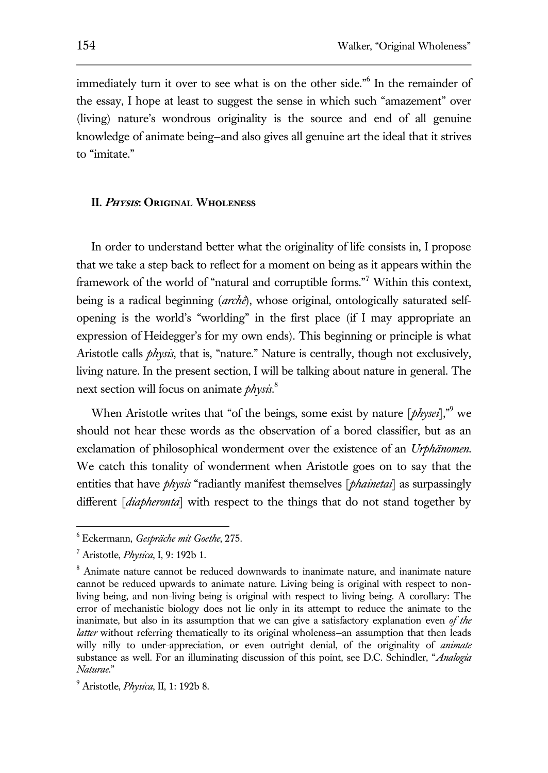immediately turn it over to see what is on the other side." 6 In the remainder of the essay, I hope at least to suggest the sense in which such "amazement" over (living) nature's wondrous originality is the source and end of all genuine knowledge of animate being—and also gives all genuine art the ideal that it strives to "imitate."

### **II. Physis: Original Wholeness**

In order to understand better what the originality of life consists in, I propose that we take a step back to reflect for a moment on being as it appears within the framework of the world of "natural and corruptible forms."<sup>7</sup> Within this context, being is a radical beginning (*archê*), whose original, ontologically saturated selfopening is the world's "worlding" in the first place (if I may appropriate an expression of Heidegger's for my own ends). This beginning or principle is what Aristotle calls *physis*, that is, "nature." Nature is centrally, though not exclusively, living nature. In the present section, I will be talking about nature in general. The next section will focus on animate *physis*. 8

When Aristotle writes that "of the beings, some exist by nature [*physei*],"<sup>9</sup> we should not hear these words as the observation of a bored classifier, but as an exclamation of philosophical wonderment over the existence of an *Urphänomen*. We catch this tonality of wonderment when Aristotle goes on to say that the entities that have *physis* "radiantly manifest themselves [*phainetai*] as surpassingly different [*diapheronta*] with respect to the things that do not stand together by

<sup>6</sup> Eckermann, *Gespräche mit Goethe*, 275.

<sup>7</sup> Aristotle, *Physica*, I, 9: 192b 1.

<sup>&</sup>lt;sup>8</sup> Animate nature cannot be reduced downwards to inanimate nature, and inanimate nature cannot be reduced upwards to animate nature. Living being is original with respect to nonliving being, and non-living being is original with respect to living being. A corollary: The error of mechanistic biology does not lie only in its attempt to reduce the animate to the inanimate, but also in its assumption that we can give a satisfactory explanation even *of the latter* without referring thematically to its original wholeness-an assumption that then leads willy nilly to under-appreciation, or even outright denial, of the originality of *animate* substance as well. For an illuminating discussion of this point, see D.C. Schindler, "*Analogia Naturae*."

<sup>9</sup> Aristotle, *Physica*, II, 1: 192b 8.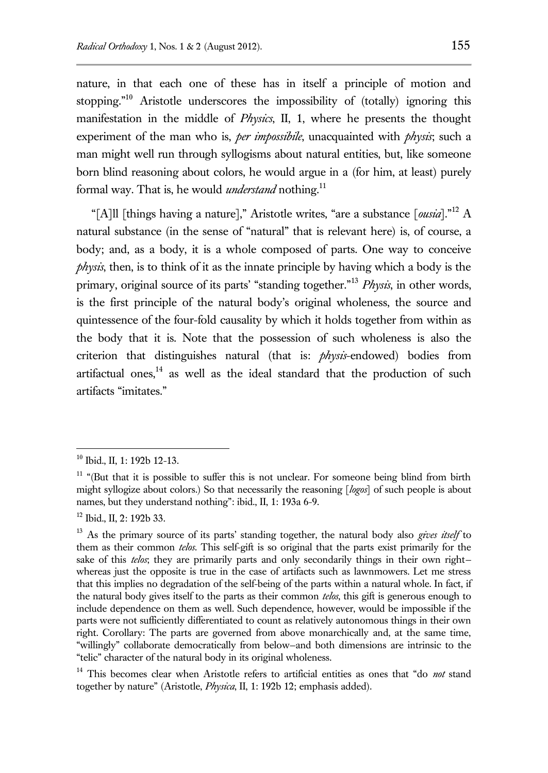nature, in that each one of these has in itself a principle of motion and stopping."<sup>10</sup> Aristotle underscores the impossibility of (totally) ignoring this manifestation in the middle of *Physics*, II, 1, where he presents the thought experiment of the man who is, *per impossibile*, unacquainted with *physis*; such a man might well run through syllogisms about natural entities, but, like someone born blind reasoning about colors, he would argue in a (for him, at least) purely formal way. That is, he would *understand* nothing.<sup>11</sup>

"[A]ll [things having a nature]," Aristotle writes, "are a substance [*ousia*]."<sup>12</sup> A natural substance (in the sense of "natural" that is relevant here) is, of course, a body; and, as a body, it is a whole composed of parts. One way to conceive *physis*, then, is to think of it as the innate principle by having which a body is the primary, original source of its parts' "standing together."<sup>13</sup> *Physis*, in other words, is the first principle of the natural body's original wholeness, the source and quintessence of the four-fold causality by which it holds together from within as the body that it is. Note that the possession of such wholeness is also the criterion that distinguishes natural (that is: *physis*-endowed) bodies from artifactual ones,<sup>14</sup> as well as the ideal standard that the production of such artifacts "imitates."

<sup>10</sup> Ibid., II, 1: 192b 12-13.

<sup>&</sup>lt;sup>11</sup> "(But that it is possible to suffer this is not unclear. For someone being blind from birth might syllogize about colors.) So that necessarily the reasoning [*logos*] of such people is about names, but they understand nothing": ibid., II, 1: 193a 6-9.

<sup>&</sup>lt;sup>12</sup> Ibid., II, 2: 192b 33.

<sup>13</sup> As the primary source of its parts' standing together, the natural body also *gives itself* to them as their common *telos*. This self-gift is so original that the parts exist primarily for the sake of this *telos*; they are primarily parts and only secondarily things in their own right whereas just the opposite is true in the case of artifacts such as lawnmowers. Let me stress that this implies no degradation of the self-being of the parts within a natural whole. In fact, if the natural body gives itself to the parts as their common *telos*, this gift is generous enough to include dependence on them as well. Such dependence, however, would be impossible if the parts were not sufficiently differentiated to count as relatively autonomous things in their own right. Corollary: The parts are governed from above monarchically and, at the same time, "willingly" collaborate democratically from below—and both dimensions are intrinsic to the "telic" character of the natural body in its original wholeness.

<sup>&</sup>lt;sup>14</sup> This becomes clear when Aristotle refers to artificial entities as ones that "do *not* stand together by nature" (Aristotle, *Physica*, II, 1: 192b 12; emphasis added).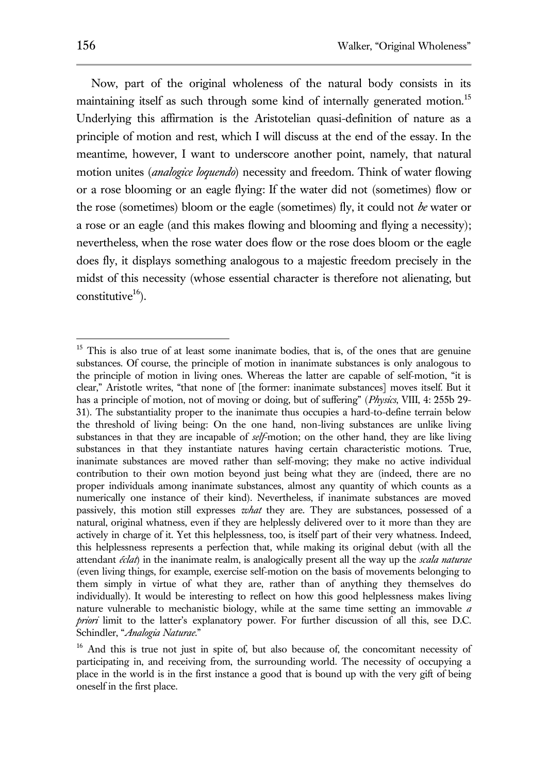Now, part of the original wholeness of the natural body consists in its maintaining itself as such through some kind of internally generated motion.<sup>15</sup> Underlying this affirmation is the Aristotelian quasi-definition of nature as a principle of motion and rest, which I will discuss at the end of the essay. In the meantime, however, I want to underscore another point, namely, that natural motion unites (*analogice loquendo*) necessity and freedom. Think of water flowing or a rose blooming or an eagle flying: If the water did not (sometimes) flow or the rose (sometimes) bloom or the eagle (sometimes) fly, it could not *be* water or a rose or an eagle (and this makes flowing and blooming and flying a necessity); nevertheless, when the rose water does flow or the rose does bloom or the eagle does fly, it displays something analogous to a majestic freedom precisely in the midst of this necessity (whose essential character is therefore not alienating, but constitutive $16$ ).

<sup>&</sup>lt;sup>15</sup> This is also true of at least some inanimate bodies, that is, of the ones that are genuine substances. Of course, the principle of motion in inanimate substances is only analogous to the principle of motion in living ones. Whereas the latter are capable of self-motion, "it is clear," Aristotle writes, "that none of [the former: inanimate substances] moves itself. But it has a principle of motion, not of moving or doing, but of suffering" (*Physics*, VIII, 4: 255b 29- 31). The substantiality proper to the inanimate thus occupies a hard-to-define terrain below the threshold of living being: On the one hand, non-living substances are unlike living substances in that they are incapable of *self*-motion; on the other hand, they are like living substances in that they instantiate natures having certain characteristic motions. True, inanimate substances are moved rather than self-moving; they make no active individual contribution to their own motion beyond just being what they are (indeed, there are no proper individuals among inanimate substances, almost any quantity of which counts as a numerically one instance of their kind). Nevertheless, if inanimate substances are moved passively, this motion still expresses *what* they are. They are substances, possessed of a natural, original whatness, even if they are helplessly delivered over to it more than they are actively in charge of it. Yet this helplessness, too, is itself part of their very whatness. Indeed, this helplessness represents a perfection that, while making its original debut (with all the attendant *éclat*) in the inanimate realm, is analogically present all the way up the *scala naturae* (even living things, for example, exercise self-motion on the basis of movements belonging to them simply in virtue of what they are, rather than of anything they themselves do individually). It would be interesting to reflect on how this good helplessness makes living nature vulnerable to mechanistic biology, while at the same time setting an immovable *a priori* limit to the latter's explanatory power. For further discussion of all this, see D.C. Schindler, "*Analogia Naturae*."

<sup>&</sup>lt;sup>16</sup> And this is true not just in spite of, but also because of, the concomitant necessity of participating in, and receiving from, the surrounding world. The necessity of occupying a place in the world is in the first instance a good that is bound up with the very gift of being oneself in the first place.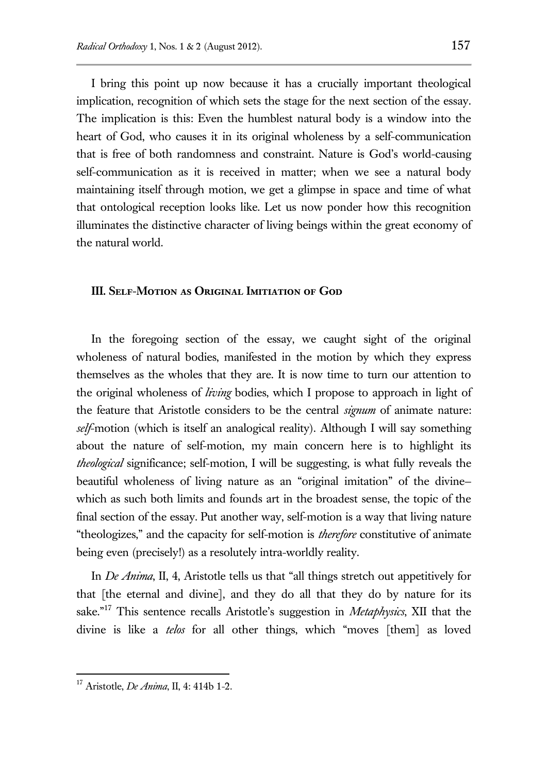I bring this point up now because it has a crucially important theological implication, recognition of which sets the stage for the next section of the essay. The implication is this: Even the humblest natural body is a window into the heart of God, who causes it in its original wholeness by a self-communication that is free of both randomness and constraint. Nature is God's world-causing self-communication as it is received in matter; when we see a natural body maintaining itself through motion, we get a glimpse in space and time of what that ontological reception looks like. Let us now ponder how this recognition illuminates the distinctive character of living beings within the great economy of the natural world.

#### **III. Self-Motion as Original Imitiation of God**

In the foregoing section of the essay, we caught sight of the original wholeness of natural bodies, manifested in the motion by which they express themselves as the wholes that they are. It is now time to turn our attention to the original wholeness of *living* bodies, which I propose to approach in light of the feature that Aristotle considers to be the central *signum* of animate nature: *self*-motion (which is itself an analogical reality). Although I will say something about the nature of self-motion, my main concern here is to highlight its *theological* significance; self-motion, I will be suggesting, is what fully reveals the beautiful wholeness of living nature as an "original imitation" of the divine which as such both limits and founds art in the broadest sense, the topic of the final section of the essay. Put another way, self-motion is a way that living nature "theologizes," and the capacity for self-motion is *therefore* constitutive of animate being even (precisely!) as a resolutely intra-worldly reality.

In *De Anima*, II, 4, Aristotle tells us that "all things stretch out appetitively for that [the eternal and divine], and they do all that they do by nature for its sake."<sup>17</sup> This sentence recalls Aristotle's suggestion in *Metaphysics*, XII that the divine is like a *telos* for all other things, which "moves [them] as loved

<sup>17</sup> Aristotle, *De Anima*, II, 4: 414b 1-2.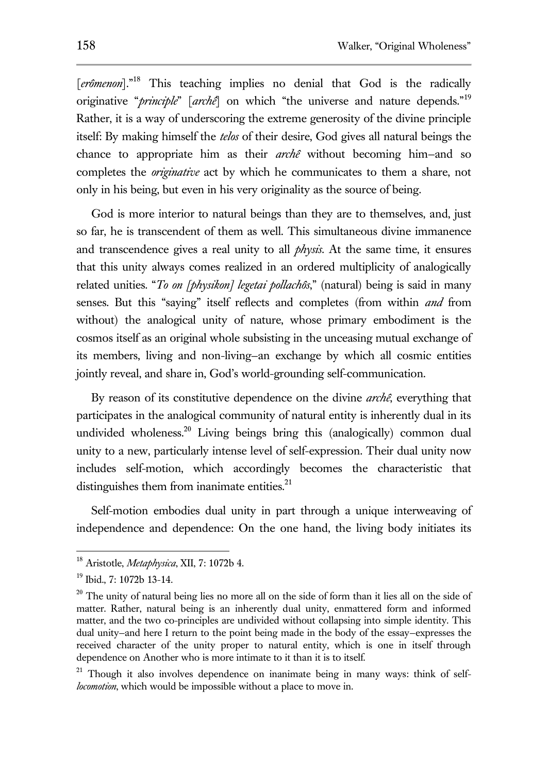[erômenon]."<sup>18</sup> This teaching implies no denial that God is the radically originative "*principle*" [*archê*] on which "the universe and nature depends."<sup>19</sup> Rather, it is a way of underscoring the extreme generosity of the divine principle itself: By making himself the *telos* of their desire, God gives all natural beings the chance to appropriate him as their *archê* without becoming him—and so completes the *originative* act by which he communicates to them a share, not only in his being, but even in his very originality as the source of being.

God is more interior to natural beings than they are to themselves, and, just so far, he is transcendent of them as well. This simultaneous divine immanence and transcendence gives a real unity to all *physis*. At the same time, it ensures that this unity always comes realized in an ordered multiplicity of analogically related unities. "*To on [physikon] legetai pollachôs*," (natural) being is said in many senses. But this "saying" itself reflects and completes (from within *and* from without) the analogical unity of nature, whose primary embodiment is the cosmos itself as an original whole subsisting in the unceasing mutual exchange of its members, living and non-living—an exchange by which all cosmic entities jointly reveal, and share in, God's world-grounding self-communication.

By reason of its constitutive dependence on the divine *archê*, everything that participates in the analogical community of natural entity is inherently dual in its undivided wholeness.<sup>20</sup> Living beings bring this (analogically) common dual unity to a new, particularly intense level of self-expression. Their dual unity now includes self-motion, which accordingly becomes the characteristic that distinguishes them from inanimate entities.<sup>21</sup>

Self-motion embodies dual unity in part through a unique interweaving of independence and dependence: On the one hand, the living body initiates its

<sup>18</sup> Aristotle, *Metaphysica*, XII, 7: 1072b 4.

<sup>19</sup> Ibid., 7: 1072b 13-14.

 $20$  The unity of natural being lies no more all on the side of form than it lies all on the side of matter. Rather, natural being is an inherently dual unity, enmattered form and informed matter, and the two co-principles are undivided without collapsing into simple identity. This dual unity—and here I return to the point being made in the body of the essay—expresses the received character of the unity proper to natural entity, which is one in itself through dependence on Another who is more intimate to it than it is to itself.

<sup>&</sup>lt;sup>21</sup> Though it also involves dependence on inanimate being in many ways: think of self*locomotion*, which would be impossible without a place to move in.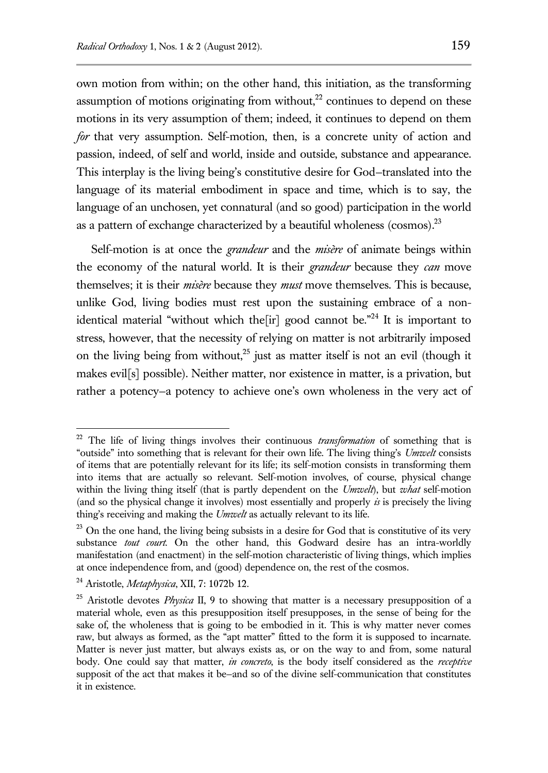own motion from within; on the other hand, this initiation, as the transforming assumption of motions originating from without, $^{22}$  continues to depend on these motions in its very assumption of them; indeed, it continues to depend on them *for* that very assumption. Self-motion, then, is a concrete unity of action and passion, indeed, of self and world, inside and outside, substance and appearance. This interplay is the living being's constitutive desire for God—translated into the language of its material embodiment in space and time, which is to say, the language of an unchosen, yet connatural (and so good) participation in the world as a pattern of exchange characterized by a beautiful wholeness (cosmos). $^{23}$ 

Self-motion is at once the *grandeur* and the *misère* of animate beings within the economy of the natural world. It is their *grandeur* because they *can* move themselves; it is their *misère* because they *must* move themselves. This is because, unlike God, living bodies must rest upon the sustaining embrace of a nonidentical material "without which the  $\lbrack \text{ir} \rbrack$  good cannot be."<sup>24</sup> It is important to stress, however, that the necessity of relying on matter is not arbitrarily imposed on the living being from without, $2<sup>5</sup>$  just as matter itself is not an evil (though it makes evil[s] possible). Neither matter, nor existence in matter, is a privation, but rather a potency—a potency to achieve one's own wholeness in the very act of

<sup>22</sup> The life of living things involves their continuous *transformation* of something that is "outside" into something that is relevant for their own life. The living thing's *Umwelt* consists of items that are potentially relevant for its life; its self-motion consists in transforming them into items that are actually so relevant. Self-motion involves, of course, physical change within the living thing itself (that is partly dependent on the *Umwelt*), but *what* self-motion (and so the physical change it involves) most essentially and properly *is* is precisely the living thing's receiving and making the *Umwelt* as actually relevant to its life.

 $^{23}$  On the one hand, the living being subsists in a desire for God that is constitutive of its very substance *tout court*. On the other hand, this Godward desire has an intra-worldly manifestation (and enactment) in the self-motion characteristic of living things, which implies at once independence from, and (good) dependence on, the rest of the cosmos.

<sup>24</sup> Aristotle, *Metaphysica*, XII, 7: 1072b 12.

<sup>&</sup>lt;sup>25</sup> Aristotle devotes *Physica* II, 9 to showing that matter is a necessary presupposition of a material whole, even as this presupposition itself presupposes, in the sense of being for the sake of, the wholeness that is going to be embodied in it. This is why matter never comes raw, but always as formed, as the "apt matter" fitted to the form it is supposed to incarnate. Matter is never just matter, but always exists as, or on the way to and from, some natural body. One could say that matter, *in concreto*, is the body itself considered as the *receptive* supposit of the act that makes it be—and so of the divine self-communication that constitutes it in existence.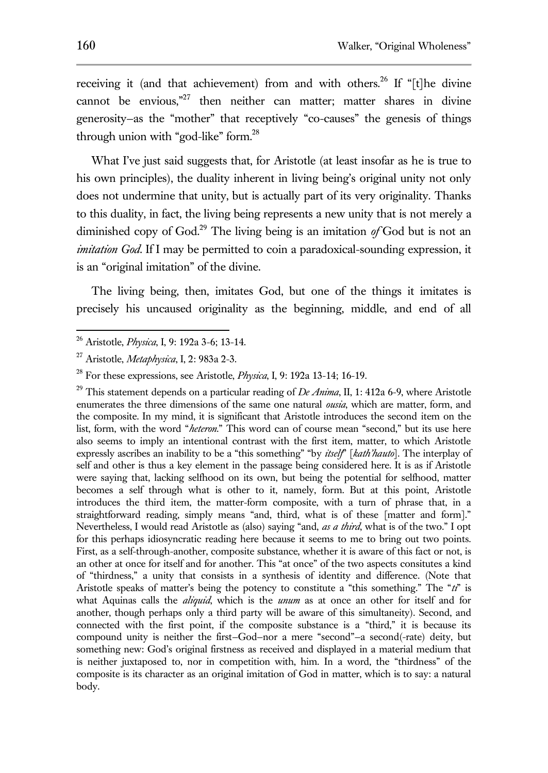receiving it (and that achievement) from and with others.<sup>26</sup> If "[t]he divine cannot be envious,"<sup>27</sup> then neither can matter; matter shares in divine generosity—as the "mother" that receptively "co-causes" the genesis of things through union with "god-like" form.<sup>28</sup>

What I've just said suggests that, for Aristotle (at least insofar as he is true to his own principles), the duality inherent in living being's original unity not only does not undermine that unity, but is actually part of its very originality. Thanks to this duality, in fact, the living being represents a new unity that is not merely a diminished copy of God.<sup>29</sup> The living being is an imitation  $\partial f$  God but is not an *imitation God*. If I may be permitted to coin a paradoxical-sounding expression, it is an "original imitation" of the divine.

The living being, then, imitates God, but one of the things it imitates is precisely his uncaused originality as the beginning, middle, and end of all

<sup>29</sup> This statement depends on a particular reading of *De Anima*, II, 1: 412a 6-9, where Aristotle enumerates the three dimensions of the same one natural *ousia*, which are matter, form, and the composite. In my mind, it is significant that Aristotle introduces the second item on the list, form, with the word "*heteron*." This word can of course mean "second," but its use here also seems to imply an intentional contrast with the first item, matter, to which Aristotle expressly ascribes an inability to be a "this something" "by *itself*" [*kath'hauto*]. The interplay of self and other is thus a key element in the passage being considered here. It is as if Aristotle were saying that, lacking selfhood on its own, but being the potential for selfhood, matter becomes a self through what is other to it, namely, form. But at this point, Aristotle introduces the third item, the matter-form composite, with a turn of phrase that, in a straightforward reading, simply means "and, third, what is of these [matter and form]." Nevertheless, I would read Aristotle as (also) saying "and, *as a third*, what is of the two." I opt for this perhaps idiosyncratic reading here because it seems to me to bring out two points. First, as a self-through-another, composite substance, whether it is aware of this fact or not, is an other at once for itself and for another. This "at once" of the two aspects consitutes a kind of "thirdness," a unity that consists in a synthesis of identity and difference. (Note that Aristotle speaks of matter's being the potency to constitute a "this something." The "*ti*" is what Aquinas calls the *aliquid*, which is the *unum* as at once an other for itself and for another, though perhaps only a third party will be aware of this simultaneity). Second, and connected with the first point, if the composite substance is a "third," it is because its compound unity is neither the first-God-nor a mere "second"-a second(-rate) deity, but something new: God's original firstness as received and displayed in a material medium that is neither juxtaposed to, nor in competition with, him. In a word, the "thirdness" of the composite is its character as an original imitation of God in matter, which is to say: a natural body.

<sup>26</sup> Aristotle, *Physica*, I, 9: 192a 3-6; 13-14.

<sup>27</sup> Aristotle, *Metaphysica*, I, 2: 983a 2-3.

<sup>28</sup> For these expressions, see Aristotle, *Physica*, I, 9: 192a 13-14; 16-19.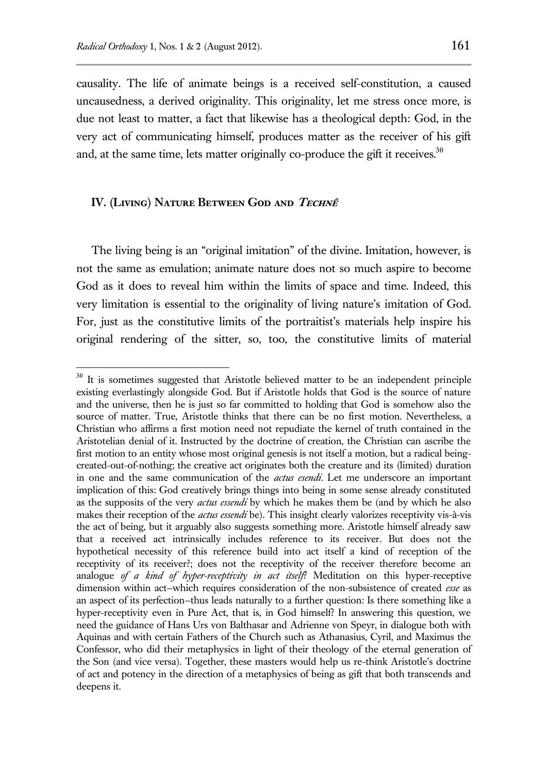$\overline{a}$ 

causality. The life of animate beings is a received self-constitution, a caused uncausedness, a derived originality. This originality, let me stress once more, is due not least to matter, a fact that likewise has a theological depth: God, in the very act of communicating himself, produces matter as the receiver of his gift and, at the same time, lets matter originally co-produce the gift it receives.<sup>30</sup>

## **IV. (Living) Nature Between God and Technê**

The living being is an "original imitation" of the divine. Imitation, however, is not the same as emulation; animate nature does not so much aspire to become God as it does to reveal him within the limits of space and time. Indeed, this very limitation is essential to the originality of living nature's imitation of God. For, just as the constitutive limits of the portraitist's materials help inspire his original rendering of the sitter, so, too, the constitutive limits of material

 $30$  It is sometimes suggested that Aristotle believed matter to be an independent principle existing everlastingly alongside God. But if Aristotle holds that God is the source of nature and the universe, then he is just so far committed to holding that God is somehow also the source of matter. True, Aristotle thinks that there can be no first motion. Nevertheless, a Christian who affirms a first motion need not repudiate the kernel of truth contained in the Aristotelian denial of it. Instructed by the doctrine of creation, the Christian can ascribe the first motion to an entity whose most original genesis is not itself a motion, but a radical beingcreated-out-of-nothing; the creative act originates both the creature and its (limited) duration in one and the same communication of the *actus esendi*. Let me underscore an important implication of this: God creatively brings things into being in some sense already constituted as the supposits of the very *actus essendi* by which he makes them be (and by which he also makes their reception of the *actus essendi* be). This insight clearly valorizes receptivity vis-à-vis the act of being, but it arguably also suggests something more. Aristotle himself already saw that a received act intrinsically includes reference to its receiver. But does not the hypothetical necessity of this reference build into act itself a kind of reception of the receptivity of its receiver?; does not the receptivity of the receiver therefore become an analogue *of a kind of hyper-receptivity in act itself*? Meditation on this hyper-receptive dimension within act—which requires consideration of the non-subsistence of created *esse* as an aspect of its perfection—thus leads naturally to a further question: Is there something like a hyper-receptivity even in Pure Act, that is, in God himself? In answering this question, we need the guidance of Hans Urs von Balthasar and Adrienne von Speyr, in dialogue both with Aquinas and with certain Fathers of the Church such as Athanasius, Cyril, and Maximus the Confessor, who did their metaphysics in light of their theology of the eternal generation of the Son (and vice versa). Together, these masters would help us re-think Aristotle's doctrine of act and potency in the direction of a metaphysics of being as gift that both transcends and deepens it.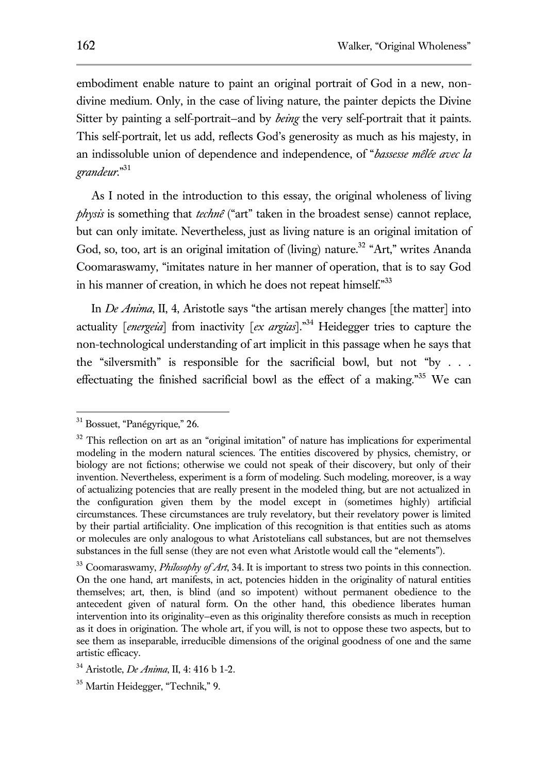embodiment enable nature to paint an original portrait of God in a new, nondivine medium. Only, in the case of living nature, the painter depicts the Divine Sitter by painting a self-portrait—and by *being* the very self-portrait that it paints. This self-portrait, let us add, reflects God's generosity as much as his majesty, in an indissoluble union of dependence and independence, of "*bassesse mêlée avec la grandeur*." 31

As I noted in the introduction to this essay, the original wholeness of living *physis* is something that *technê* ("art" taken in the broadest sense) cannot replace, but can only imitate. Nevertheless, just as living nature is an original imitation of God, so, too, art is an original imitation of (living) nature.<sup>32</sup> "Art," writes Ananda Coomaraswamy, "imitates nature in her manner of operation, that is to say God in his manner of creation, in which he does not repeat himself."33

In *De Anima*, II, 4, Aristotle says "the artisan merely changes [the matter] into actuality [*energeia*] from inactivity [*ex argias*]."<sup>34</sup> Heidegger tries to capture the non-technological understanding of art implicit in this passage when he says that the "silversmith" is responsible for the sacrificial bowl, but not "by . . . effectuating the finished sacrificial bowl as the effect of a making."<sup>35</sup> We can

<sup>&</sup>lt;sup>31</sup> Bossuet, "Panégyrique," 26.

<sup>&</sup>lt;sup>32</sup> This reflection on art as an "original imitation" of nature has implications for experimental modeling in the modern natural sciences. The entities discovered by physics, chemistry, or biology are not fictions; otherwise we could not speak of their discovery, but only of their invention. Nevertheless, experiment is a form of modeling. Such modeling, moreover, is a way of actualizing potencies that are really present in the modeled thing, but are not actualized in the configuration given them by the model except in (sometimes highly) artificial circumstances. These circumstances are truly revelatory, but their revelatory power is limited by their partial artificiality. One implication of this recognition is that entities such as atoms or molecules are only analogous to what Aristotelians call substances, but are not themselves substances in the full sense (they are not even what Aristotle would call the "elements").

<sup>33</sup> Coomaraswamy, *Philosophy of Art*, 34. It is important to stress two points in this connection. On the one hand, art manifests, in act, potencies hidden in the originality of natural entities themselves; art, then, is blind (and so impotent) without permanent obedience to the antecedent given of natural form. On the other hand, this obedience liberates human intervention into its originality—even as this originality therefore consists as much in reception as it does in origination. The whole art, if you will, is not to oppose these two aspects, but to see them as inseparable, irreducible dimensions of the original goodness of one and the same artistic efficacy.

<sup>34</sup> Aristotle, *De Anima*, II, 4: 416 b 1-2.

<sup>35</sup> Martin Heidegger, "Technik," 9.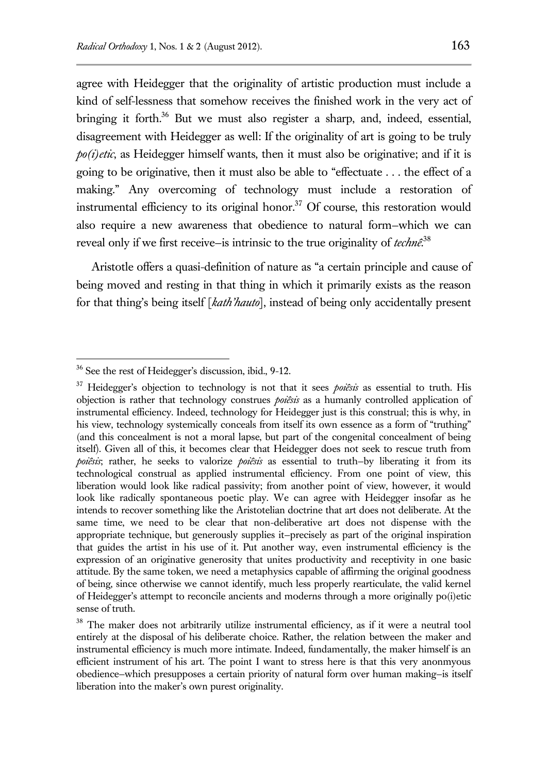agree with Heidegger that the originality of artistic production must include a kind of self-lessness that somehow receives the finished work in the very act of bringing it forth.<sup>36</sup> But we must also register a sharp, and, indeed, essential, disagreement with Heidegger as well: If the originality of art is going to be truly *po(i)etic*, as Heidegger himself wants, then it must also be originative; and if it is going to be originative, then it must also be able to "effectuate . . . the effect of a making." Any overcoming of technology must include a restoration of instrumental efficiency to its original honor. $37$  Of course, this restoration would also require a new awareness that obedience to natural form—which we can reveal only if we first receive—is intrinsic to the true originality of *technê*. 38

Aristotle offers a quasi-definition of nature as "a certain principle and cause of being moved and resting in that thing in which it primarily exists as the reason for that thing's being itself [*kath'hauto*], instead of being only accidentally present

<sup>36</sup> See the rest of Heidegger's discussion, ibid., 9-12.

<sup>37</sup> Heidegger's objection to technology is not that it sees *poiêsis* as essential to truth. His objection is rather that technology construes *poiêsis* as a humanly controlled application of instrumental efficiency. Indeed, technology for Heidegger just is this construal; this is why, in his view, technology systemically conceals from itself its own essence as a form of "truthing" (and this concealment is not a moral lapse, but part of the congenital concealment of being itself). Given all of this, it becomes clear that Heidegger does not seek to rescue truth from *poiêsis*; rather, he seeks to valorize *poiêsis* as essential to truth—by liberating it from its technological construal as applied instrumental efficiency. From one point of view, this liberation would look like radical passivity; from another point of view, however, it would look like radically spontaneous poetic play. We can agree with Heidegger insofar as he intends to recover something like the Aristotelian doctrine that art does not deliberate. At the same time, we need to be clear that non-deliberative art does not dispense with the appropriate technique, but generously supplies it—precisely as part of the original inspiration that guides the artist in his use of it. Put another way, even instrumental efficiency is the expression of an originative generosity that unites productivity and receptivity in one basic attitude. By the same token, we need a metaphysics capable of affirming the original goodness of being, since otherwise we cannot identify, much less properly rearticulate, the valid kernel of Heidegger's attempt to reconcile ancients and moderns through a more originally po(i)etic sense of truth.

<sup>&</sup>lt;sup>38</sup> The maker does not arbitrarily utilize instrumental efficiency, as if it were a neutral tool entirely at the disposal of his deliberate choice. Rather, the relation between the maker and instrumental efficiency is much more intimate. Indeed, fundamentally, the maker himself is an efficient instrument of his art. The point I want to stress here is that this very anonmyous obedience—which presupposes a certain priority of natural form over human making—is itself liberation into the maker's own purest originality.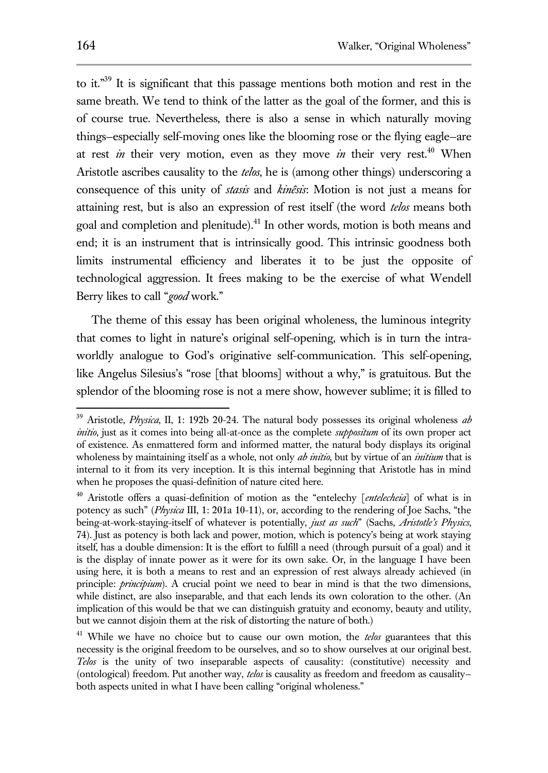to it."<sup>39</sup> It is significant that this passage mentions both motion and rest in the same breath. We tend to think of the latter as the goal of the former, and this is of course true. Nevertheless, there is also a sense in which naturally moving things—especially self-moving ones like the blooming rose or the flying eagle—are at rest *in* their very motion, even as they move *in* their very rest.<sup>40</sup> When Aristotle ascribes causality to the *telos*, he is (among other things) underscoring a consequence of this unity of *stasis* and *kinêsis*: Motion is not just a means for attaining rest, but is also an expression of rest itself (the word *telos* means both goal and completion and plenitude).<sup>41</sup> In other words, motion is both means and end; it is an instrument that is intrinsically good. This intrinsic goodness both limits instrumental efficiency and liberates it to be just the opposite of technological aggression. It frees making to be the exercise of what Wendell Berry likes to call "*good* work."

The theme of this essay has been original wholeness, the luminous integrity that comes to light in nature's original self-opening, which is in turn the intraworldly analogue to God's originative self-communication. This self-opening, like Angelus Silesius's "rose [that blooms] without a why," is gratuitous. But the splendor of the blooming rose is not a mere show, however sublime; it is filled to

<sup>39</sup> Aristotle, *Physica*, II, 1: 192b 20-24. The natural body possesses its original wholeness *ab initio*, just as it comes into being all-at-once as the complete *suppositum* of its own proper act of existence. As enmattered form and informed matter, the natural body displays its original wholeness by maintaining itself as a whole, not only *ab initio*, but by virtue of an *initium* that is internal to it from its very inception. It is this internal beginning that Aristotle has in mind when he proposes the quasi-definition of nature cited here.

<sup>&</sup>lt;sup>40</sup> Aristotle offers a quasi-definition of motion as the "entelechy [entelecheia] of what is in potency as such" (*Physica* III, 1: 201a 10-11), or, according to the rendering of Joe Sachs, "the being-at-work-staying-itself of whatever is potentially, *just as such*" (Sachs, *Aristotle's Physics*, 74). Just as potency is both lack and power, motion, which is potency's being at work staying itself, has a double dimension: It is the effort to fulfill a need (through pursuit of a goal) and it is the display of innate power as it were for its own sake. Or, in the language I have been using here, it is both a means to rest and an expression of rest always already achieved (in principle: *principium*). A crucial point we need to bear in mind is that the two dimensions, while distinct, are also inseparable, and that each lends its own coloration to the other. (An implication of this would be that we can distinguish gratuity and economy, beauty and utility, but we cannot disjoin them at the risk of distorting the nature of both.)

<sup>41</sup> While we have no choice but to cause our own motion, the *telos* guarantees that this necessity is the original freedom to be ourselves, and so to show ourselves at our original best. *Telos* is the unity of two inseparable aspects of causality: (constitutive) necessity and (ontological) freedom. Put another way, *telos* is causality as freedom and freedom as causality both aspects united in what I have been calling "original wholeness."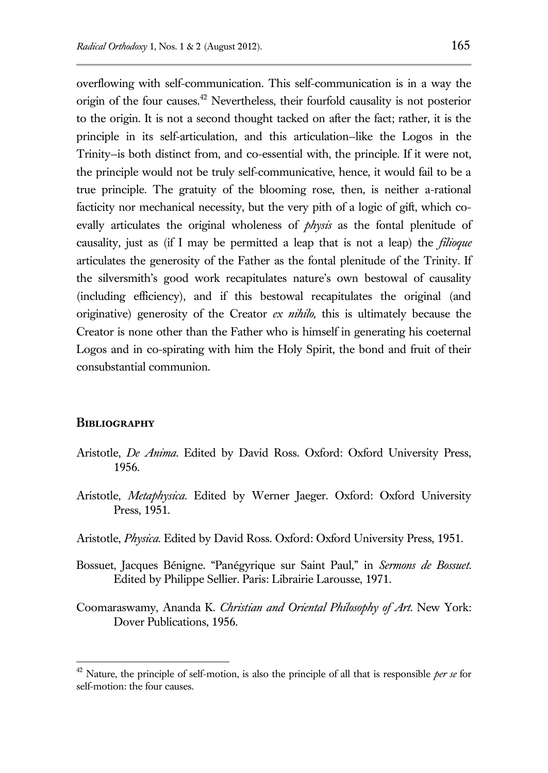overflowing with self-communication. This self-communication is in a way the origin of the four causes.<sup>42</sup> Nevertheless, their fourfold causality is not posterior to the origin. It is not a second thought tacked on after the fact; rather, it is the principle in its self-articulation, and this articulation—like the Logos in the Trinity—is both distinct from, and co-essential with, the principle. If it were not, the principle would not be truly self-communicative, hence, it would fail to be a true principle. The gratuity of the blooming rose, then, is neither a-rational facticity nor mechanical necessity, but the very pith of a logic of gift, which coevally articulates the original wholeness of *physis* as the fontal plenitude of causality, just as (if I may be permitted a leap that is not a leap) the *filioque* articulates the generosity of the Father as the fontal plenitude of the Trinity. If the silversmith's good work recapitulates nature's own bestowal of causality (including efficiency), and if this bestowal recapitulates the original (and originative) generosity of the Creator *ex nihilo,* this is ultimately because the Creator is none other than the Father who is himself in generating his coeternal Logos and in co-spirating with him the Holy Spirit, the bond and fruit of their consubstantial communion.

#### **Bibliography**

- Aristotle, *De Anima*. Edited by David Ross. Oxford: Oxford University Press, 1956.
- Aristotle, *Metaphysica*. Edited by Werner Jaeger. Oxford: Oxford University Press, 1951.
- Aristotle, *Physica*. Edited by David Ross. Oxford: Oxford University Press, 1951.
- Bossuet, Jacques Bénigne. "Panégyrique sur Saint Paul," in *Sermons de Bossuet*. Edited by Philippe Sellier. Paris: Librairie Larousse, 1971.
- Coomaraswamy, Ananda K. *Christian and Oriental Philosophy of Art*. New York: Dover Publications, 1956.

<sup>42</sup> Nature, the principle of self-motion, is also the principle of all that is responsible *per se* for self-motion: the four causes.